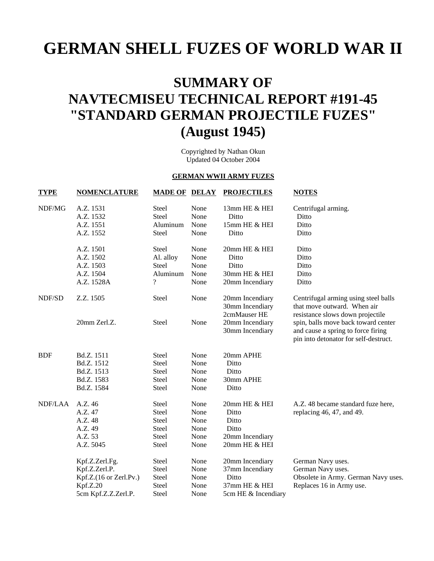# **GERMAN SHELL FUZES OF WORLD WAR II**

# **SUMMARY OF NAVTECMISEU TECHNICAL REPORT #191-45 "STANDARD GERMAN PROJECTILE FUZES" (August 1945)**

Copyrighted by Nathan Okun Updated 04 October 2004

### **GERMAN WWII ARMY FUZES**

| <b>TYPE</b> | <b>NOMENCLATURE</b>    | <b>MADE OF DELAY</b>     |      | <b>PROJECTILES</b>                                 | <b>NOTES</b>                                                                                                       |
|-------------|------------------------|--------------------------|------|----------------------------------------------------|--------------------------------------------------------------------------------------------------------------------|
| NDF/MG      | A.Z. 1531              | <b>Steel</b>             | None | 13mm HE & HEI                                      | Centrifugal arming.                                                                                                |
|             | A.Z. 1532              | <b>Steel</b>             | None | Ditto                                              | Ditto                                                                                                              |
|             | A.Z. 1551              | Aluminum                 | None | 15mm HE & HEI                                      | Ditto                                                                                                              |
|             | A.Z. 1552              | <b>Steel</b>             | None | Ditto                                              | Ditto                                                                                                              |
|             | A.Z. 1501              | Steel                    | None | 20mm HE & HEI                                      | Ditto                                                                                                              |
|             | A.Z. 1502              | Al. alloy                | None | Ditto                                              | Ditto                                                                                                              |
|             | A.Z. 1503              | Steel                    | None | Ditto                                              | Ditto                                                                                                              |
|             | A.Z. 1504              | Aluminum                 | None | 30mm HE & HEI                                      | Ditto                                                                                                              |
|             | A.Z. 1528A             | $\overline{\mathcal{L}}$ | None | 20mm Incendiary                                    | Ditto                                                                                                              |
| NDF/SD      | Z.Z. 1505              | Steel                    | None | 20mm Incendiary<br>30mm Incendiary<br>2cmMauser HE | Centrifugal arming using steel balls<br>that move outward. When air<br>resistance slows down projectile            |
|             | 20mm Zerl.Z.           | Steel                    | None | 20mm Incendiary<br>30mm Incendiary                 | spin, balls move back toward center<br>and cause a spring to force firing<br>pin into detonator for self-destruct. |
| <b>BDF</b>  | Bd.Z. 1511             | <b>Steel</b>             | None | 20mm APHE                                          |                                                                                                                    |
|             | Bd.Z. 1512             | <b>Steel</b>             | None | Ditto                                              |                                                                                                                    |
|             | Bd.Z. 1513             | <b>Steel</b>             | None | Ditto                                              |                                                                                                                    |
|             | Bd.Z. 1583             | <b>Steel</b>             | None | 30mm APHE                                          |                                                                                                                    |
|             | Bd.Z. 1584             | <b>Steel</b>             | None | Ditto                                              |                                                                                                                    |
| NDF/LAA     | A.Z. 46                | Steel                    | None | 20mm HE & HEI                                      | A.Z. 48 became standard fuze here,                                                                                 |
|             | A.Z. 47                | Steel                    | None | Ditto                                              | replacing 46, 47, and 49.                                                                                          |
|             | A.Z. 48                | Steel                    | None | Ditto                                              |                                                                                                                    |
|             | A.Z. 49                | Steel                    | None | Ditto                                              |                                                                                                                    |
|             | A.Z. 53                | Steel                    | None | 20mm Incendiary                                    |                                                                                                                    |
|             | A.Z. 5045              | Steel                    | None | 20mm HE & HEI                                      |                                                                                                                    |
|             | Kpf.Z.Zerl.Fg.         | Steel                    | None | 20mm Incendiary                                    | German Navy uses.                                                                                                  |
|             | Kpf.Z.Zerl.P.          | Steel                    | None | 37mm Incendiary                                    | German Navy uses.                                                                                                  |
|             | Kpf.Z.(16 or Zerl.Pv.) | Steel                    | None | Ditto                                              | Obsolete in Army. German Navy uses.                                                                                |
|             | Kpf.Z.20               | Steel                    | None | 37mm HE & HEI                                      | Replaces 16 in Army use.                                                                                           |
|             | 5cm Kpf.Z.Z.Zerl.P.    | Steel                    | None | 5cm HE & Incendiary                                |                                                                                                                    |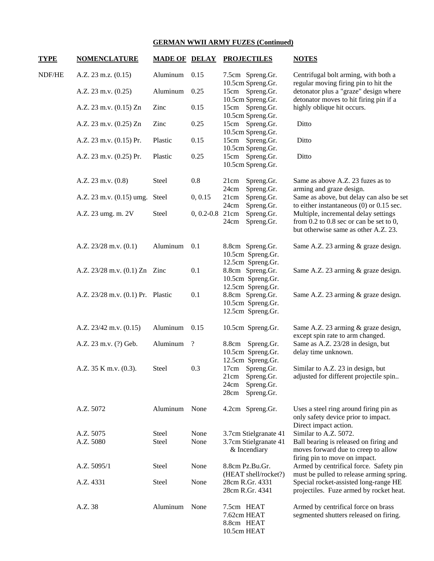| <b>TYPE</b> | <b>NOMENCLATURE</b>               | <b>MADE OF DELAY</b> |                          | <b>PROJECTILES</b>                                                                | <b>NOTES</b>                                                                                                                   |
|-------------|-----------------------------------|----------------------|--------------------------|-----------------------------------------------------------------------------------|--------------------------------------------------------------------------------------------------------------------------------|
| NDF/HE      | A.Z. 23 m.z. (0.15)               | Aluminum             | 0.15                     | 7.5cm Spreng.Gr.<br>10.5cm Spreng.Gr.                                             | Centrifugal bolt arming, with both a<br>regular moving firing pin to hit the                                                   |
|             | A.Z. $23$ m.v. $(0.25)$           | Aluminum             | 0.25                     | 15cm Spreng.Gr.<br>10.5cm Spreng.Gr.                                              | detonator plus a "graze" design where<br>detonator moves to hit firing pin if a                                                |
|             | A.Z. 23 m.v. (0.15) Zn            | Zinc                 | 0.15                     | 15cm Spreng.Gr.<br>10.5cm Spreng.Gr.                                              | highly oblique hit occurs.                                                                                                     |
|             | A.Z. 23 m.v. (0.25) Zn            | Zinc                 | 0.25                     | 15cm Spreng.Gr.<br>10.5cm Spreng.Gr.                                              | Ditto                                                                                                                          |
|             | A.Z. 23 m.v. (0.15) Pr.           | Plastic              | 0.15                     | 15cm Spreng.Gr.<br>10.5cm Spreng.Gr.                                              | Ditto                                                                                                                          |
|             | A.Z. 23 m.v. (0.25) Pr.           | Plastic              | 0.25                     | 15cm Spreng.Gr.<br>10.5cm Spreng.Gr.                                              | Ditto                                                                                                                          |
|             | A.Z. 23 m.v. (0.8)                | Steel                | 0.8                      | Spreng.Gr.<br>21cm<br>Spreng.Gr.<br>24cm                                          | Same as above A.Z. 23 fuzes as to<br>arming and graze design.                                                                  |
|             | A.Z. $23$ m.v. $(0.15)$ umg.      | Steel                | 0, 0.15                  | 21cm<br>Spreng.Gr.<br>24cm<br>Spreng.Gr.                                          | Same as above, but delay can also be set<br>to either instantaneous $(0)$ or 0.15 sec.                                         |
|             | A.Z. 23 umg. m. 2V                | Steel                | $0, 0.2 - 0.8$ 21cm      | Spreng.Gr.<br>24cm<br>Spreng.Gr.                                                  | Multiple, incremental delay settings<br>from $0.2$ to $0.8$ sec or can be set to $0$ ,<br>but otherwise same as other A.Z. 23. |
|             | A.Z. $23/28$ m.v. $(0.1)$         | Aluminum             | 0.1                      | 8.8cm Spreng.Gr.<br>10.5cm Spreng.Gr.<br>12.5cm Spreng.Gr.                        | Same A.Z. 23 arming & graze design.                                                                                            |
|             | A.Z. 23/28 m.v. (0.1) Zn Zinc     |                      | 0.1                      | 8.8cm Spreng.Gr.<br>10.5cm Spreng.Gr.<br>12.5cm Spreng.Gr.                        | Same A.Z. 23 arming & graze design.                                                                                            |
|             | A.Z. 23/28 m.v. (0.1) Pr. Plastic |                      | 0.1                      | 8.8cm Spreng.Gr.<br>10.5cm Spreng.Gr.<br>12.5cm Spreng.Gr.                        | Same A.Z. 23 arming & graze design.                                                                                            |
|             | A.Z. $23/42$ m.v. $(0.15)$        | Aluminum             | 0.15                     | 10.5cm Spreng.Gr.                                                                 | Same A.Z. 23 arming & graze design,<br>except spin rate to arm changed.                                                        |
|             | A.Z. 23 m.v. (?) Geb.             | Aluminum             | $\overline{\mathcal{L}}$ | 8.8cm Spreng.Gr.<br>10.5cm Spreng.Gr.<br>12.5cm Spreng.Gr.                        | Same as A.Z. 23/28 in design, but<br>delay time unknown.                                                                       |
|             | A.Z. 35 K m.v. (0.3).             | Steel                | 0.3                      | 17cm Spreng.Gr.<br>Spreng.Gr.<br>21cm<br>24cm<br>Spreng.Gr.<br>28cm<br>Spreng.Gr. | Similar to A.Z. 23 in design, but<br>adjusted for different projectile spin                                                    |
|             | A.Z. 5072                         | Aluminum None        |                          | 4.2cm Spreng.Gr.                                                                  | Uses a steel ring around firing pin as<br>only safety device prior to impact.<br>Direct impact action.                         |
|             | A.Z. 5075                         | Steel                | None                     | 3.7cm Stielgranate 41                                                             | Similar to A.Z. 5072.                                                                                                          |
|             | A.Z. 5080                         | Steel                | None                     | 3.7cm Stielgranate 41<br>& Incendiary                                             | Ball bearing is released on firing and<br>moves forward due to creep to allow<br>firing pin to move on impact.                 |
|             | A.Z. 5095/1                       | Steel                | None                     | 8.8cm Pz.Bu.Gr.<br>(HEAT shell/rocket?)                                           | Armed by centrifical force. Safety pin<br>must be pulled to release arming spring.                                             |
|             | A.Z. 4331                         | Steel                | None                     | 28cm R.Gr. 4331<br>28cm R.Gr. 4341                                                | Special rocket-assisted long-range HE<br>projectiles. Fuze armed by rocket heat.                                               |
|             | A.Z. 38                           | Aluminum             | None                     | 7.5cm HEAT<br>7.62cm HEAT<br>8.8cm HEAT<br>10.5cm HEAT                            | Armed by centrifical force on brass<br>segmented shutters released on firing.                                                  |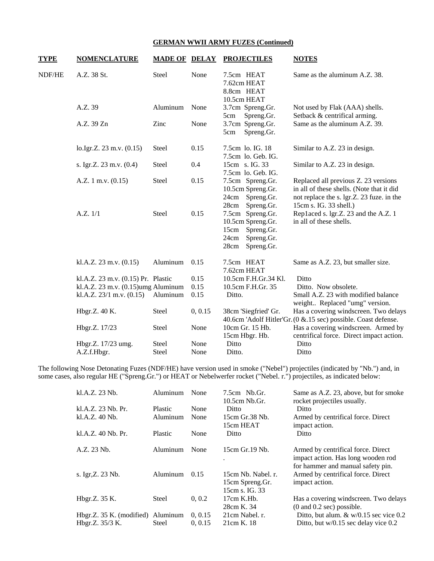| <b>NOMENCLATURE</b>          |              |                                                                          | <b>PROJECTILES</b>                                                                                      | <b>NOTES</b>                                                                                                                                             |
|------------------------------|--------------|--------------------------------------------------------------------------|---------------------------------------------------------------------------------------------------------|----------------------------------------------------------------------------------------------------------------------------------------------------------|
| A.Z. 38 St.                  | <b>Steel</b> | None                                                                     | 7.5cm HEAT<br>7.62cm HEAT<br>8.8cm HEAT<br>10.5cm HEAT                                                  | Same as the aluminum A.Z. 38.                                                                                                                            |
| A.Z. 39                      | Aluminum     | None                                                                     | 3.7cm Spreng.Gr.                                                                                        | Not used by Flak (AAA) shells.<br>Setback & centrifical arming.                                                                                          |
| A.Z. 39 Zn                   | Zinc         | None                                                                     | 3.7cm Spreng.Gr.<br>Spreng.Gr.<br>5cm                                                                   | Same as the aluminum A.Z. 39.                                                                                                                            |
| lo.Igr.Z. 23 m.v. (0.15)     | Steel        | 0.15                                                                     | 7.5cm lo. IG. 18<br>7.5cm lo. Geb. IG.                                                                  | Similar to A.Z. 23 in design.                                                                                                                            |
| s. Igr.Z. 23 m.v. (0.4)      | <b>Steel</b> | 0.4                                                                      | 15cm s. IG. 33<br>7.5cm lo. Geb. IG.                                                                    | Similar to A.Z. 23 in design.                                                                                                                            |
| A.Z. 1 m.v. $(0.15)$         | Steel        | 0.15                                                                     | 7.5cm Spreng.Gr.<br>10.5cm Spreng.Gr.<br>24cm Spreng.Gr.                                                | Replaced all previous Z. 23 versions<br>in all of these shells. (Note that it did<br>not replace the s. lgr.Z. 23 fuze. in the<br>15cm s. IG. 33 shell.) |
| A.Z. 1/1                     | Steel        | 0.15                                                                     | 7.5cm Spreng.Gr.<br>10.5cm Spreng.Gr.<br>Spreng.Gr.<br>15cm<br>Spreng.Gr.<br>24cm<br>28cm<br>Spreng.Gr. | Replaced s. lgr.Z. 23 and the A.Z. 1<br>in all of these shells.                                                                                          |
| kl.A.Z. $23$ m.v. $(0.15)$   | Aluminum     | 0.15                                                                     | 7.5cm HEAT<br>7.62cm HEAT                                                                               | Same as A.Z. 23, but smaller size.                                                                                                                       |
|                              |              | 0.15                                                                     | 10.5cm F.H.Gr.34 Kl.                                                                                    | Ditto                                                                                                                                                    |
|                              |              | 0.15                                                                     | 10.5cm F.H.Gr. 35                                                                                       | Ditto. Now obsolete.                                                                                                                                     |
| kl.A.Z. $23/1$ m.v. $(0.15)$ | Aluminum     | 0.15                                                                     | Ditto.                                                                                                  | Small A.Z. 23 with modified balance<br>weight Replaced "umg" version.                                                                                    |
| Hbgr.Z. 40 K.                | Steel        | 0, 0.15                                                                  | 38cm 'Siegfried' Gr.                                                                                    | Has a covering windscreen. Two delays<br>40.6cm 'Adolf Hitler'Gr. (0 & 15 sec) possible. Coast defense.                                                  |
| Hbgr.Z. 17/23                | <b>Steel</b> | None                                                                     | 10cm Gr. 15 Hb.                                                                                         | Has a covering windscreen. Armed by<br>centrifical force. Direct impact action.                                                                          |
| Hbgr.Z. 17/23 umg.           | <b>Steel</b> | None                                                                     | Ditto                                                                                                   | Ditto                                                                                                                                                    |
| A.Z.f.Hbgr.                  | <b>Steel</b> | None                                                                     | Ditto.                                                                                                  | Ditto                                                                                                                                                    |
|                              |              | kl.A.Z. 23 m.v. (0.15) Pr. Plastic<br>kl.A.Z. 23 m.v. (0.15)umg Aluminum | <b>MADE OF DELAY</b>                                                                                    | Spreng.Gr.<br>5cm<br>28cm<br>Spreng.Gr.<br>15cm Hbgr. Hb.                                                                                                |

The following Nose Detonating Fuzes (NDF/HE) have version used in smoke ("Nebel") projectiles (indicated by "Nb.") and, in some cases, also regular HE ("Spreng.Gr.") or HEAT or Nebelwerfer rocket ("Nebel. r.") projectiles, as indicated below:

| kl.A.Z. 23 Nb.                    | Aluminum       | None    | $7.5cm$ Nb.Gr.<br>$10.5cm$ Nb.Gr.                       | Same as A.Z. 23, above, but for smoke<br>rocket projectiles usually.                                          |
|-----------------------------------|----------------|---------|---------------------------------------------------------|---------------------------------------------------------------------------------------------------------------|
| kl.A.Z. 23 Nb. Pr.                | <b>Plastic</b> | None    | Ditto                                                   | Ditto                                                                                                         |
| kl.A.Z. 40 Nb.                    | Aluminum       | None    | 15cm Gr.38 Nb.                                          | Armed by centrifical force. Direct                                                                            |
|                                   |                |         | 15cm HEAT                                               | impact action.                                                                                                |
| kl.A.Z. 40 Nb. Pr.                | Plastic        | None    | Ditto                                                   | Ditto                                                                                                         |
| A.Z. 23 Nb.                       | Aluminum       | None    | 15cm Gr. 19 Nb.                                         | Armed by centrifical force. Direct<br>impact action. Has long wooden rod<br>for hammer and manual safety pin. |
| s. Igr, Z. 23 Nb.                 | Aluminum       | 0.15    | 15cm Nb. Nabel. r.<br>15cm Spreng.Gr.<br>15cm s. IG. 33 | Armed by centrifical force. Direct<br>impact action.                                                          |
| Hbgr.Z. 35 K.                     | Steel          | 0, 0.2  | $17cm$ K.Hb.<br>28cm K. 34                              | Has a covering windscreen. Two delays<br>$(0 \text{ and } 0.2 \text{ sec})$ possible.                         |
| Hbgr.Z. 35 K. (modified) Aluminum |                | 0, 0.15 | 21cm Nabel. r.                                          | Ditto, but alum. $&$ w/0.15 sec vice 0.2                                                                      |
| Hbgr.Z. 35/3 K.                   | Steel          | 0, 0.15 | 21cm K. 18                                              | Ditto, but $w/0.15$ sec delay vice 0.2                                                                        |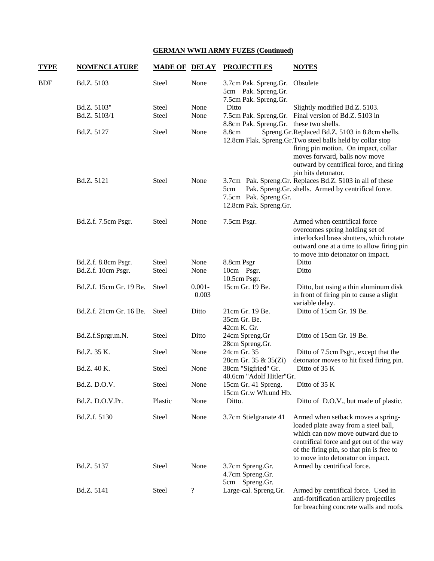| <b>TYPE</b> | <b>NOMENCLATURE</b>     | <b>MADE OF DELAY</b> |                            | <b>PROJECTILES</b>                                                             | <b>NOTES</b>                                                                                                                                                                                                                                             |
|-------------|-------------------------|----------------------|----------------------------|--------------------------------------------------------------------------------|----------------------------------------------------------------------------------------------------------------------------------------------------------------------------------------------------------------------------------------------------------|
| <b>BDF</b>  | Bd.Z. 5103              | Steel                | None                       | 3.7cm Pak. Spreng.Gr. Obsolete<br>5cm Pak. Spreng.Gr.<br>7.5cm Pak. Spreng.Gr. |                                                                                                                                                                                                                                                          |
|             | Bd.Z. 5103"             | Steel                | None                       | Ditto                                                                          | Slightly modified Bd.Z. 5103.                                                                                                                                                                                                                            |
|             | Bd.Z. 5103/1            | Steel                | None                       | 8.8cm Pak. Spreng.Gr. these two shells.                                        | 7.5cm Pak. Spreng.Gr. Final version of Bd.Z. 5103 in                                                                                                                                                                                                     |
|             | Bd.Z. 5127              | Steel                | None                       | 8.8cm                                                                          | Spreng.Gr.Replaced Bd.Z. 5103 in 8.8cm shells.<br>12.8cm Flak. Spreng.Gr.Two steel balls held by collar stop<br>firing pin motion. On impact, collar<br>moves forward, balls now move<br>outward by centrifical force, and firing<br>pin hits detonator. |
|             | Bd.Z. 5121              | Steel                | None                       | 5cm<br>7.5cm Pak. Spreng.Gr.<br>12.8cm Pak. Spreng.Gr.                         | 3.7cm Pak. Spreng.Gr. Replaces Bd.Z. 5103 in all of these<br>Pak. Spreng.Gr. shells. Armed by centrifical force.                                                                                                                                         |
|             | Bd.Z.f. 7.5cm Psgr.     | Steel                | None                       | 7.5cm Psgr.                                                                    | Armed when centrifical force<br>overcomes spring holding set of<br>interlocked brass shutters, which rotate<br>outward one at a time to allow firing pin<br>to move into detonator on impact.                                                            |
|             | Bd.Z.f. 8.8cm Psgr.     | Steel                | None                       | 8.8cm Psgr                                                                     | Ditto                                                                                                                                                                                                                                                    |
|             | Bd.Z.f. 10cm Psgr.      | Steel                | None                       | 10cm Psgr.<br>10.5cm Psgr.                                                     | Ditto                                                                                                                                                                                                                                                    |
|             | Bd.Z.f. 15cm Gr. 19 Be. | <b>Steel</b>         | $0.001 -$<br>0.003         | 15cm Gr. 19 Be.                                                                | Ditto, but using a thin aluminum disk<br>in front of firing pin to cause a slight<br>variable delay.                                                                                                                                                     |
|             | Bd.Z.f. 21cm Gr. 16 Be. | Steel                | Ditto                      | 21cm Gr. 19 Be.<br>35cm Gr. Be.<br>42cm K. Gr.                                 | Ditto of 15cm Gr. 19 Be.                                                                                                                                                                                                                                 |
|             | Bd.Z.f.Sprgr.m.N.       | Steel                | Ditto                      | 24cm Spreng.Gr<br>28cm Spreng.Gr.                                              | Ditto of 15cm Gr. 19 Be.                                                                                                                                                                                                                                 |
|             | Bd.Z. 35 K.             | Steel                | None                       | 24cm Gr. 35<br>28cm Gr. 35 & 35(Zi)                                            | Ditto of 7.5cm Psgr., except that the<br>detonator moves to hit fixed firing pin.                                                                                                                                                                        |
|             | Bd.Z. 40 K.             | Steel                | None                       | 38cm "Sigfried" Gr.<br>40.6cm "Adolf Hitler"Gr.                                | Ditto of 35 K                                                                                                                                                                                                                                            |
|             | Bd.Z. D.O.V.            | Steel                | None                       | 15cm Gr. 41 Spreng.<br>15cm Gr.w Wh.und Hb.                                    | Ditto of 35 K                                                                                                                                                                                                                                            |
|             | Bd.Z. D.O.V.Pr.         | Plastic              | None                       | Ditto.                                                                         | Ditto of D.O.V., but made of plastic.                                                                                                                                                                                                                    |
|             | Bd.Z.f. 5130            | Steel                | None                       | 3.7cm Stielgranate 41                                                          | Armed when setback moves a spring-<br>loaded plate away from a steel ball,<br>which can now move outward due to<br>centrifical force and get out of the way<br>of the firing pin, so that pin is free to<br>to move into detonator on impact.            |
|             | Bd.Z. 5137              | Steel                | None                       | 3.7cm Spreng.Gr.<br>4.7cm Spreng.Gr.<br>5cm Spreng.Gr.                         | Armed by centrifical force.                                                                                                                                                                                                                              |
|             | Bd.Z. 5141              | Steel                | $\boldsymbol{\mathcal{C}}$ | Large-cal. Spreng.Gr.                                                          | Armed by centrifical force. Used in<br>anti-fortification artillery projectiles<br>for breaching concrete walls and roofs.                                                                                                                               |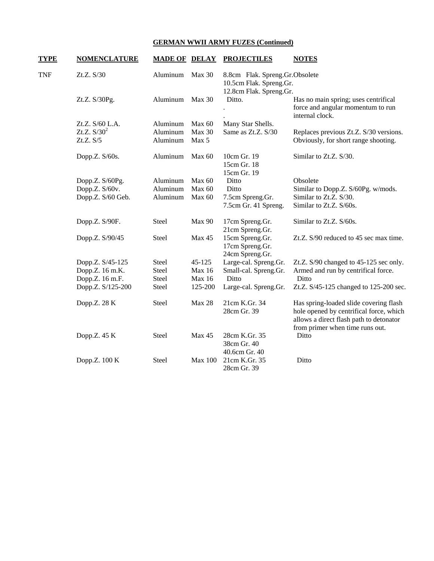| <b>TYPE</b> | <b>NOMENCLATURE</b> | <b>MADE OF DELAY</b> |                | <b>PROJECTILES</b>                                        | <b>NOTES</b>                                                                                                                                                    |
|-------------|---------------------|----------------------|----------------|-----------------------------------------------------------|-----------------------------------------------------------------------------------------------------------------------------------------------------------------|
| <b>TNF</b>  | Zt.Z. S/30          | Aluminum             | Max 30         | 8.8cm Flak. Spreng.Gr.Obsolete<br>10.5cm Flak. Spreng.Gr. |                                                                                                                                                                 |
|             | Zt.Z. S/30Pg.       | Aluminum             | Max 30         | 12.8cm Flak. Spreng.Gr.<br>Ditto.                         | Has no main spring; uses centrifical<br>force and angular momentum to run<br>internal clock.                                                                    |
|             | Zt.Z. S/60 L.A.     | Aluminum             | Max 60         | Many Star Shells.                                         |                                                                                                                                                                 |
|             | Zt.Z. $S/30^2$      | Aluminum             | <b>Max 30</b>  | Same as Zt.Z. S/30                                        | Replaces previous Zt.Z. S/30 versions.                                                                                                                          |
|             | Zt.Z. S/5           | Aluminum             | Max 5          |                                                           | Obviously, for short range shooting.                                                                                                                            |
|             | Dopp.Z. S/60s.      | Aluminum             | Max 60         | 10cm Gr. 19<br>15cm Gr. 18<br>15cm Gr. 19                 | Similar to Zt.Z. S/30.                                                                                                                                          |
|             | Dopp.Z. S/60Pg.     | Aluminum             | Max 60         | Ditto                                                     | Obsolete                                                                                                                                                        |
|             | Dopp.Z. S/60v.      | Aluminum             | Max 60         | Ditto                                                     | Similar to Dopp.Z. S/60Pg. w/mods.                                                                                                                              |
|             | Dopp.Z. S/60 Geb.   | Aluminum             | Max 60         | 7.5cm Spreng.Gr.                                          | Similar to Zt.Z. S/30.                                                                                                                                          |
|             |                     |                      |                | 7.5cm Gr. 41 Spreng.                                      | Similar to Zt.Z. S/60s.                                                                                                                                         |
|             | Dopp.Z. S/90F.      | <b>Steel</b>         | Max 90         | 17cm Spreng.Gr.<br>21cm Spreng.Gr.                        | Similar to Zt.Z. S/60s.                                                                                                                                         |
|             | Dopp.Z. S/90/45     | Steel                | Max 45         | 15cm Spreng.Gr.<br>17cm Spreng.Gr.<br>24cm Spreng.Gr.     | Zt.Z. S/90 reduced to 45 sec max time.                                                                                                                          |
|             | Dopp.Z. S/45-125    | Steel                | 45-125         | Large-cal. Spreng.Gr.                                     | Zt.Z. S/90 changed to 45-125 sec only.                                                                                                                          |
|             | Dopp.Z. 16 m.K.     | <b>Steel</b>         | Max 16         | Small-cal. Spreng.Gr.                                     | Armed and run by centrifical force.                                                                                                                             |
|             | Dopp.Z. 16 m.F.     | Steel                | Max 16         | Ditto                                                     | Ditto                                                                                                                                                           |
|             | Dopp.Z. S/125-200   | Steel                | 125-200        | Large-cal. Spreng.Gr.                                     | Zt.Z. S/45-125 changed to 125-200 sec.                                                                                                                          |
|             | Dopp.Z. 28 K        | <b>Steel</b>         | <b>Max 28</b>  | 21cm K.Gr. 34<br>28cm Gr. 39                              | Has spring-loaded slide covering flash<br>hole opened by centrifical force, which<br>allows a direct flash path to detonator<br>from primer when time runs out. |
|             | Dopp.Z. 45 K        | Steel                | Max 45         | 28cm K.Gr. 35<br>38cm Gr. 40<br>40.6cm Gr. 40             | Ditto                                                                                                                                                           |
|             | Dopp.Z. 100 K       | Steel                | <b>Max 100</b> | 21cm K.Gr. 35<br>28cm Gr. 39                              | Ditto                                                                                                                                                           |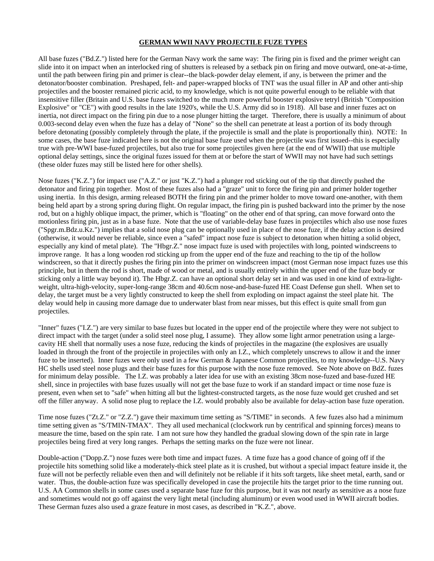### **GERMAN WWII NAVY PROJECTILE FUZE TYPES**

All base fuzes ("Bd.Z.") listed here for the German Navy work the same way: The firing pin is fixed and the primer weight can slide into it on impact when an interlocked ring of shutters is released by a setback pin on firing and move outward, one-at-a-time, until the path between firing pin and primer is clear--the black-powder delay element, if any, is between the primer and the detonator/booster combination. Preshaped, felt- and paper-wrapped blocks of TNT was the usual filler in AP and other anti-ship projectiles and the booster remained picric acid, to my knowledge, which is not quite powerful enough to be reliable with that insensitive filler (Britain and U.S. base fuzes switched to the much more powerful booster explosive tetryl (British "Composition Explosive" or "CE") with good results in the late 1920's, while the U.S. Army did so in 1918). All base and inner fuzes act on inertia, not direct impact on the firing pin due to a nose plunger hitting the target. Therefore, there is usually a minimum of about 0.003-second delay even when the fuze has a delay of "None" so the shell can penetrate at least a portion of its body through before detonating (possibly completely through the plate, if the projectile is small and the plate is proportionally thin). NOTE: In some cases, the base fuze indicated here is not the original base fuze used when the projectile was first issued--this is especially true with pre-WWI base-fuzed projectiles, but also true for some projectiles given here (at the end of WWII) that use multiple optional delay settings, since the original fuzes issued for them at or before the start of WWII may not have had such settings (these older fuzes may still be listed here for other shells).

Nose fuzes ("K.Z.") for impact use ("A.Z." or just "K.Z.") had a plunger rod sticking out of the tip that directly pushed the detonator and firing pin together. Most of these fuzes also had a "graze" unit to force the firing pin and primer holder together using inertia. In this design, arming released BOTH the firing pin and the primer holder to move toward one-another, with them being held apart by a strong spring during flight. On regular impact, the firing pin is pushed backward into the primer by the nose rod, but on a highly oblique impact, the primer, which is "floating" on the other end of that spring, can move forward onto the motionless firing pin, just as in a base fuze. Note that the use of variable-delay base fuzes in projectiles which also use nose fuzes ("Spgr.m.Bdz.u.Kz.") implies that a solid nose plug can be optionally used in place of the nose fuze, if the delay action is desired (otherwise, it would never be reliable, since even a "safed" impact nose fuze is subject to detonation when hitting a solid object, especially any kind of metal plate). The "Hbgr.Z." nose impact fuze is used with projectiles with long, pointed windscreens to improve range. It has a long wooden rod sticking up from the upper end of the fuze and reaching to the tip of the hollow windscreen, so that it directly pushes the firing pin into the primer on windscreen impact (most German nose impact fuzes use this principle, but in them the rod is short, made of wood or metal, and is usually entirely within the upper end of the fuze body or sticking only a little way beyond it). The Hbgr.Z. can have an optional short delay set in and was used in one kind of extra-lightweight, ultra-high-velocity, super-long-range 38cm and 40.6cm nose-and-base-fuzed HE Coast Defense gun shell. When set to delay, the target must be a very lightly constructed to keep the shell from exploding on impact against the steel plate hit. The delay would help in causing more damage due to underwater blast from near misses, but this effect is quite small from gun projectiles.

"Inner" fuzes ("I.Z.") are very similar to base fuzes but located in the upper end of the projectile where they were not subject to direct impact with the target (under a solid steel nose plug, I assume). They allow some light armor penetration using a largecavity HE shell that normally uses a nose fuze, reducing the kinds of projectiles in the magazine (the explosives are usually loaded in through the front of the projectile in projectiles with only an I.Z., which completely unscrews to allow it and the inner fuze to be inserted). Inner fuzes were only used in a few German & Japanese Common projectiles, to my knowledge--U.S. Navy HC shells used steel nose plugs and their base fuzes for this purpose with the nose fuze removed. See Note above on BdZ. fuzes for minimum delay possible. The I.Z. was probably a later idea for use with an existing 38cm nose-fuzed and base-fuzed HE shell, since in projectiles with base fuzes usually will not get the base fuze to work if an standard impact or time nose fuze is present, even when set to "safe" when hitting all but the lightest-constructed targets, as the nose fuze would get crushed and set off the filler anyway. A solid nose plug to replace the I.Z. would probably also be available for delay-action base fuze operation.

Time nose fuzes ("Zt.Z." or "Z.Z.") gave their maximum time setting as "S/TIME" in seconds. A few fuzes also had a minimum time setting given as "S/TMIN-TMAX". They all used mechanical (clockwork run by centrifical and spinning forces) means to measure the time, based on the spin rate. I am not sure how they handled the gradual slowing down of the spin rate in large projectiles being fired at very long ranges. Perhaps the setting marks on the fuze were not linear.

Double-action ("Dopp.Z.") nose fuzes were both time and impact fuzes. A time fuze has a good chance of going off if the projectile hits something solid like a moderately-thick steel plate as it is crushed, but without a special impact feature inside it, the fuze will not be perfectly reliable even then and will definitely not be reliable if it hits soft targets, like sheet metal, earth, sand or water. Thus, the double-action fuze was specifically developed in case the projectile hits the target prior to the time running out. U.S. AA Common shells in some cases used a separate base fuze for this purpose, but it was not nearly as sensitive as a nose fuze and sometimes would not go off against the very light metal (including aluminum) or even wood used in WWII aircraft bodies. These German fuzes also used a graze feature in most cases, as described in "K.Z.", above.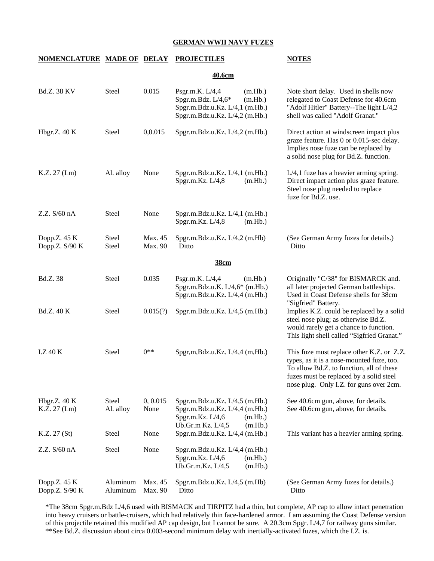### **GERMAN WWII NAVY FUZES**

### **NOMENCLATURE MADE OF DELAY PROJECTILES NOTES**

### **40.6cm**

| <b>Bd.Z. 38 KV</b>             | Steel                 | 0.015              | (m.Hb.)<br>Psgr.m.K. $L/4,4$<br>Spgr.m.Bdz. L/4,6*<br>(m.Hb.)<br>Spgr.m.Bdz.u.Kz. L/4,1 (m.Hb.)<br>Spgr.m.Bdz.u.Kz. L/4,2 (m.Hb.) | Note short delay. Used in shells now<br>relegated to Coast Defense for 40.6cm<br>"Adolf Hitler" Battery--The light L/4,2<br>shell was called "Adolf Granat."                                                             |
|--------------------------------|-----------------------|--------------------|-----------------------------------------------------------------------------------------------------------------------------------|--------------------------------------------------------------------------------------------------------------------------------------------------------------------------------------------------------------------------|
| Hbgr.Z. 40 K                   | Steel                 | 0,0.015            | Spgr.m.Bdz.u.Kz. L/4,2 (m.Hb.)                                                                                                    | Direct action at windscreen impact plus<br>graze feature. Has 0 or 0.015-sec delay.<br>Implies nose fuze can be replaced by<br>a solid nose plug for Bd.Z. function.                                                     |
| K.Z. 27 (Lm)                   | Al. alloy             | None               | Spgr.m.Bdz.u.Kz. L/4,1 (m.Hb.)<br>Spgr.m.Kz. L/4,8<br>(m.Hb.)                                                                     | $L/4$ , 1 fuze has a heavier arming spring.<br>Direct impact action plus graze feature.<br>Steel nose plug needed to replace<br>fuze for Bd.Z. use.                                                                      |
| Z.Z. S/60 nA                   | <b>Steel</b>          | None               | Spgr.m.Bdz.u.Kz. L/4,1 (m.Hb.)<br>Spgr.m.Kz. L/4,8<br>(m.Hb.)                                                                     |                                                                                                                                                                                                                          |
| Dopp.Z. 45 K<br>Dopp.Z. S/90 K | <b>Steel</b><br>Steel | Max. 45<br>Max. 90 | Spgr.m.Bdz.u.Kz. L/4,2 (m.Hb)<br>Ditto                                                                                            | (See German Army fuzes for details.)<br>Ditto                                                                                                                                                                            |
|                                |                       |                    | 38cm                                                                                                                              |                                                                                                                                                                                                                          |
| Bd.Z. 38                       | Steel                 | 0.035              | Psgr.m.K. $L/4,4$<br>(m.Hb.)<br>Spgr.m.Bdz.u.K. L/4,6* (m.Hb.)<br>Spgr.m.Bdz.u.Kz. L/4,4 (m.Hb.)                                  | Originally "C/38" for BISMARCK and.<br>all later projected German battleships.<br>Used in Coast Defense shells for 38cm<br>"Sigfried" Battery.                                                                           |
| <b>Bd.Z.</b> 40 K              | Steel                 | 0.015(?)           | Spgr.m.Bdz.u.Kz. L/4,5 (m.Hb.)                                                                                                    | Implies K.Z. could be replaced by a solid<br>steel nose plug; as otherwise Bd.Z.<br>would rarely get a chance to function.<br>This light shell called "Sigfried Granat."                                                 |
| I.Z40K                         | Steel                 | $0**$              | Spgr,m,Bdz.u.Kz. L/4,4 (m,Hb.)                                                                                                    | This fuze must replace other K.Z. or Z.Z.<br>types, as it is a nose-mounted fuze, too.<br>To allow Bd.Z. to function, all of these<br>fuzes must be replaced by a solid steel<br>nose plug. Only I.Z. for guns over 2cm. |
| Hbgr.Z. $40K$<br>K.Z. 27 (Lm)  | Steel<br>Al. alloy    | 0, 0.015<br>None   | Spgr.m.Bdz.u.Kz. L/4,5 (m.Hb.)<br>Spgr.m.Bdz.u.Kz. L/4,4 (m.Hb.)<br>Spgr.m.Kz. L/4,6<br>(m.Hb.)<br>Ub.Gr.m Kz. L/4,5<br>(m.Hb.)   | See 40.6cm gun, above, for details.<br>See 40.6cm gun, above, for details.                                                                                                                                               |
| K.Z. 27 (St)                   | Steel                 | None               | Spgr.m.Bdz.u.Kz. L/4,4 (m.Hb.)                                                                                                    | This variant has a heavier arming spring.                                                                                                                                                                                |
| Z.Z. S/60 nA                   | Steel                 | None               | Spgr.m.Bdz.u.Kz. L/4,4 (m.Hb.)<br>Spgr.m.Kz. L/4,6<br>(m.Hb.)<br>Ub.Gr.m.Kz. L/4,5<br>(m.Hb.)                                     |                                                                                                                                                                                                                          |
| Dopp.Z. 45 K<br>Dopp.Z. S/90 K | Aluminum<br>Aluminum  | Max. 45<br>Max. 90 | Spgr.m.Bdz.u.Kz. L/4,5 (m.Hb)<br>Ditto                                                                                            | (See German Army fuzes for details.)<br>Ditto                                                                                                                                                                            |

 \*The 38cm Spgr.m.Bdz L/4,6 used with BISMACK and TIRPITZ had a thin, but complete, AP cap to allow intact penetration into heavy cruisers or battle-cruisers, which had relatively thin face-hardened armor. I am assuming the Coast Defense version of this projectile retained this modified AP cap design, but I cannot be sure. A 20.3cm Spgr. L/4,7 for railway guns similar. \*\*See Bd.Z. discussion about circa 0.003-second minimum delay with inertially-activated fuzes, which the I.Z. is.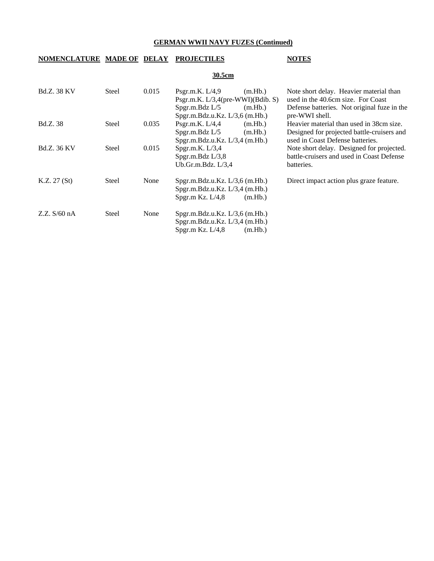# **NOMENCLATURE MADE OF DELAY PROJECTILES NOTES**

### **30.5cm**

| <b>Bd.Z. 38 KV</b> | Steel        | 0.015 | Psgr.m.K. $L/4.9$<br>(m.Hb.)         | Note short delay. Heavier material than     |
|--------------------|--------------|-------|--------------------------------------|---------------------------------------------|
|                    |              |       | Psgr.m.K. $L/3,4$ (pre-WWI)(Bdib. S) | used in the 40.6cm size. For Coast          |
|                    |              |       | Spgr.m.Bdz $L/5$<br>(m.Hb.)          | Defense batteries. Not original fuze in the |
|                    |              |       | Spgr.m.Bdz.u.Kz. L/3,6 (m.Hb.)       | pre-WWI shell.                              |
| <b>Bd.Z.</b> 38    | Steel        | 0.035 | Psgr.m.K. $L/4,4$<br>(m.Hb.)         | Heavier material than used in 38cm size.    |
|                    |              |       | Spgr.m.Bdz L/5<br>(m.Hb.)            | Designed for projected battle-cruisers and  |
|                    |              |       | Spgr.m.Bdz.u.Kz. L/3,4 (m.Hb.)       | used in Coast Defense batteries.            |
| <b>Bd.Z.</b> 36 KV | <b>Steel</b> | 0.015 | Spgr.m.K. $L/3,4$                    | Note short delay. Designed for projected.   |
|                    |              |       | Spgr.m.Bdz L/3,8                     | battle-cruisers and used in Coast Defense   |
|                    |              |       | Ub.Gr.m.Bdz. $L/3,4$                 | batteries.                                  |
| K.Z. 27(St)        | Steel        | None  | Spgr.m.Bdz.u.Kz. L/3,6 (m.Hb.)       | Direct impact action plus graze feature.    |
|                    |              |       | Spgr.m.Bdz.u.Kz. L/3,4 (m.Hb.)       |                                             |
|                    |              |       | Spgr.m Kz. $L/4,8$<br>(m.Hb.)        |                                             |
|                    |              |       |                                      |                                             |
| Z.Z. S/60 nA       | Steel        | None  | Spgr.m.Bdz.u.Kz. L/3, 6 (m.Hb.)      |                                             |
|                    |              |       | Spgr.m.Bdz.u.Kz. L/3,4 (m.Hb.)       |                                             |
|                    |              |       | Spgr.m Kz. $L/4,8$<br>(m.Hb.)        |                                             |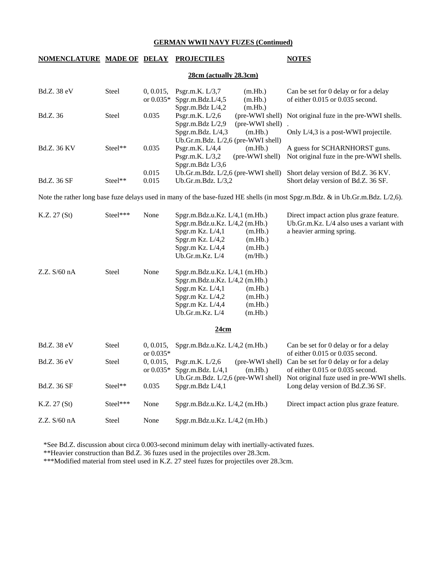### **NOMENCLATURE MADE OF DELAY PROJECTILES NOTES**

### **28cm (actually 28.3cm)**

| Bd.Z. 38 eV        | <b>Steel</b> |       | 0, 0.015, Psgr.m.K. $L/3.7$        | (m.Hb.)         | Can be set for 0 delay or for a delay                    |
|--------------------|--------------|-------|------------------------------------|-----------------|----------------------------------------------------------|
|                    |              |       | or $0.035*$ Spgr.m.Bdz.L/4,5       | (m.Hb.)         | of either $0.015$ or $0.035$ second.                     |
|                    |              |       | Spgr.m.Bdz $L/4,2$                 | (m.Hb.)         |                                                          |
| Bd.Z. 36           | Steel        | 0.035 | Psgr.m.K. $L/2.6$                  |                 | (pre-WWI shell) Not original fuze in the pre-WWI shells. |
|                    |              |       | Spgr.m.Bdz $L/2.9$                 | (pre-WWI shell) |                                                          |
|                    |              |       | Spgr.m.Bdz. $L/4,3$                | (m.Hb.)         | Only L/4,3 is a post-WWI projectile.                     |
|                    |              |       | Ub.Gr.m.Bdz. L/2,6 (pre-WWI shell) |                 |                                                          |
| <b>Bd.Z.</b> 36 KV | $Steel**$    | 0.035 | Psgr.m.K. $L/4,4$                  | (m.Hb.)         | A guess for SCHARNHORST guns.                            |
|                    |              |       | Psgr.m.K. $L/3,2$                  | (pre-WWI shell) | Not original fuze in the pre-WWI shells.                 |
|                    |              |       | Spgr.m.Bdz $L/3,6$                 |                 |                                                          |
|                    |              | 0.015 | Ub.Gr.m.Bdz. L/2,6 (pre-WWI shell) |                 | Short delay version of Bd.Z. 36 KV.                      |
| <b>Bd.Z.</b> 36 SF | $Steel**$    | 0.015 | Ub.Gr.m.Bdz. $L/3,2$               |                 | Short delay version of Bd.Z. 36 SF.                      |

Note the rather long base fuze delays used in many of the base-fuzed HE shells (in most Spgr.m.Bdz. & in Ub.Gr.m.Bdz. L/2,6).

| K.Z. 27 (St)       | Steel***       | None                     | Spgr.m.Bdz.u.Kz. L/4,1 (m.Hb.)<br>Spgr.m.Bdz.u.Kz. L/4,2 (m.Hb.)<br>Spgr.m Kz. L/4,1<br>(m.Hb.)<br>Spgr.m Kz. L/4,2<br>(m.Hb.)<br>Spgr.m Kz. $L/4,4$<br>(m.Hb.)<br>Ub.Gr.m.Kz. $L/4$<br>(m/Hb.) | Direct impact action plus graze feature.<br>Ub.Gr.m.Kz. L/4 also uses a variant with<br>a heavier arming spring.           |
|--------------------|----------------|--------------------------|-------------------------------------------------------------------------------------------------------------------------------------------------------------------------------------------------|----------------------------------------------------------------------------------------------------------------------------|
| Z.Z. S/60 nA       | <b>Steel</b>   | None                     | Spgr.m.Bdz.u.Kz. L/4,1 (m.Hb.)<br>Spgr.m.Bdz.u.Kz. $L/4,2$ (m.Hb.)<br>Spgr.m Kz. $L/4,1$<br>(m.Hb.)<br>Spgr.m Kz. L/4,2<br>(m.Hb.)<br>Spgr.m Kz. L/4,4<br>(m.Hb.)<br>Ub.Gr.m.Kz. L/4<br>(m.Hb.) |                                                                                                                            |
|                    |                |                          | 24cm                                                                                                                                                                                            |                                                                                                                            |
| Bd.Z. 38 eV        | Steel          | 0, 0.015,<br>or $0.035*$ | Spgr.m.Bdz.u.Kz. L/4,2 (m.Hb.)                                                                                                                                                                  | Can be set for 0 delay or for a delay<br>of either $0.015$ or $0.035$ second.                                              |
| Bd.Z. 36 eV        | <b>Steel</b>   | 0, 0.015,<br>or $0.035*$ | (pre-WWI shell)<br>Psgr.m.K. $L/2,6$<br>Spgr.m.Bdz. $L/4,1$<br>(m.Hb.)<br>Ub.Gr.m.Bdz. $L/2,6$ (pre-WWI shell)                                                                                  | Can be set for 0 delay or for a delay<br>of either $0.015$ or $0.035$ second.<br>Not original fuze used in pre-WWI shells. |
| <b>Bd.Z. 36 SF</b> | $\rm{Steel**}$ | 0.035                    | Spgr.m.Bdz L/4,1                                                                                                                                                                                | Long delay version of Bd.Z.36 SF.                                                                                          |
| K.Z. 27 (St)       | Steel***       | None                     | Spgr.m.Bdz.u.Kz. L/4,2 (m.Hb.)                                                                                                                                                                  | Direct impact action plus graze feature.                                                                                   |
| Z.Z. S/60 nA       | <b>Steel</b>   | None                     | Spgr.m.Bdz.u.Kz. L/4,2 (m.Hb.)                                                                                                                                                                  |                                                                                                                            |

\*See Bd.Z. discussion about circa 0.003-second minimum delay with inertially-activated fuzes.

\*\*Heavier construction than Bd.Z. 36 fuzes used in the projectiles over 28.3cm.

\*\*\*Modified material from steel used in K.Z. 27 steel fuzes for projectiles over 28.3cm.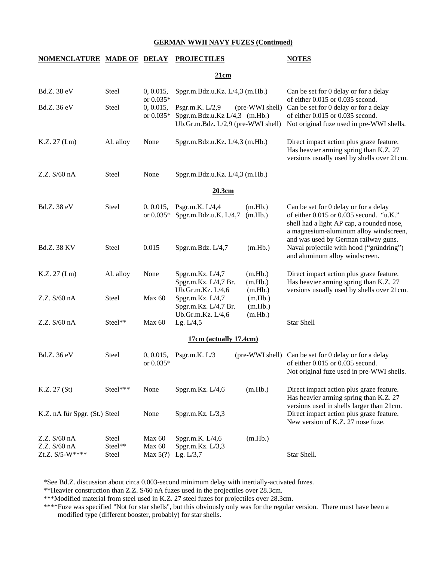### **NOMENCLATURE MADE OF DELAY PROJECTILES NOTES**

### **21cm**

| Bd.Z. 38 eV                                     | Steel                     | 0, 0.015,<br>or 0.035*         | Spgr.m.Bdz.u.Kz. L/4,3 (m.Hb.)                                                             |                               | Can be set for 0 delay or for a delay<br>of either 0.015 or 0.035 second.                                                                                                                                       |
|-------------------------------------------------|---------------------------|--------------------------------|--------------------------------------------------------------------------------------------|-------------------------------|-----------------------------------------------------------------------------------------------------------------------------------------------------------------------------------------------------------------|
| Bd.Z. 36 eV                                     | Steel                     | 0, 0.015,<br>or $0.035*$       | Psgr.m.K. $L/2,9$<br>Spgr.m.Bdz.u.Kz L/4,3 (m.Hb.)<br>Ub.Gr.m.Bdz. $L/2,9$ (pre-WWI shell) | (pre-WWI shell)               | Can be set for 0 delay or for a delay<br>of either 0.015 or 0.035 second.<br>Not original fuze used in pre-WWI shells.                                                                                          |
| K.Z. 27 (Lm)                                    | Al. alloy                 | None                           | Spgr.m.Bdz.u.Kz. L/4,3 (m.Hb.)                                                             |                               | Direct impact action plus graze feature.<br>Has heavier arming spring than K.Z. 27<br>versions usually used by shells over 21cm.                                                                                |
| Z.Z. S/60 nA                                    | Steel                     | None                           | Spgr.m.Bdz.u.Kz. L/4,3 (m.Hb.)                                                             |                               |                                                                                                                                                                                                                 |
|                                                 |                           |                                | 20.3cm                                                                                     |                               |                                                                                                                                                                                                                 |
| Bd.Z. 38 eV                                     | Steel                     | 0, 0.015,<br>or $0.035*$       | Psgr.m.K. L/4,4<br>Spgr.m.Bdz.u.K. L/4,7                                                   | (m.Hb.)<br>(m.Hb.)            | Can be set for 0 delay or for a delay<br>of either 0.015 or 0.035 second. "u.K."<br>shell had a light AP cap, a rounded nose,<br>a magnesium-aluminum alloy windscreen,<br>and was used by German railway guns. |
| <b>Bd.Z. 38 KV</b>                              | Steel                     | 0.015                          | Spgr.m.Bdz. L/4,7                                                                          | (m.Hb.)                       | Naval projectile with hood ("gründring")<br>and aluminum alloy windscreen.                                                                                                                                      |
| K.Z. 27 (Lm)                                    | Al. alloy                 | None                           | Spgr.m.Kz. L/4,7<br>Spgr.m.Kz. L/4,7 Br.<br>Ub.Gr.m.Kz. L/4,6                              | (m.Hb.)<br>(m.Hb.)<br>(m.Hb.) | Direct impact action plus graze feature.<br>Has heavier arming spring than K.Z. 27<br>versions usually used by shells over 21cm.                                                                                |
| Z.Z. S/60 nA                                    | Steel                     | Max 60                         | Spgr.m.Kz. L/4,7<br>Spgr.m.Kz. L/4,7 Br.<br>Ub.Gr.m.Kz. L/4,6                              | (m.Hb.)<br>(m.Hb.)<br>(m.Hb.) |                                                                                                                                                                                                                 |
| Z.Z. S/60 nA                                    | Steel**                   | Max 60                         | Lg. $L/4,5$                                                                                |                               | <b>Star Shell</b>                                                                                                                                                                                               |
|                                                 |                           |                                | 17cm (actually 17.4cm)                                                                     |                               |                                                                                                                                                                                                                 |
| Bd.Z. 36 eV                                     | Steel                     | 0, 0.015,<br>or 0.035*         | Psgr.m.K. L/3                                                                              | (pre-WWI shell)               | Can be set for 0 delay or for a delay<br>of either 0.015 or 0.035 second.<br>Not original fuze used in pre-WWI shells.                                                                                          |
| K.Z. 27 (St)                                    | Steel***                  | None                           | Spgr.m.Kz. L/4,6                                                                           | (m.Hb.)                       | Direct impact action plus graze feature.<br>Has heavier arming spring than K.Z. 27<br>versions used in shells larger than 21cm.                                                                                 |
| K.Z. nA für Spgr. (St.) Steel                   |                           | None                           | Spgr.m.Kz. L/3,3                                                                           |                               | Direct impact action plus graze feature.<br>New version of K.Z. 27 nose fuze.                                                                                                                                   |
| Z.Z. S/60 nA<br>Z.Z. S/60 nA<br>Zt.Z. S/5-W**** | Steel<br>Steel**<br>Steel | Max 60<br>Max 60<br>Max $5(?)$ | Spgr.m.K. L/4,6<br>Spgr.m.Kz. L/3,3<br>Lg. $L/3,7$                                         | (m.Hb.)                       | Star Shell.                                                                                                                                                                                                     |

\*See Bd.Z. discussion about circa 0.003-second minimum delay with inertially-activated fuzes.

\*\*Heavier construction than Z.Z. S/60 nA fuzes used in the projectiles over 28.3cm.

\*\*\*Modified material from steel used in K.Z. 27 steel fuzes for projectiles over 28.3cm.

 \*\*\*\*Fuze was specified "Not for star shells", but this obviously only was for the regular version. There must have been a modified type (different booster, probably) for star shells.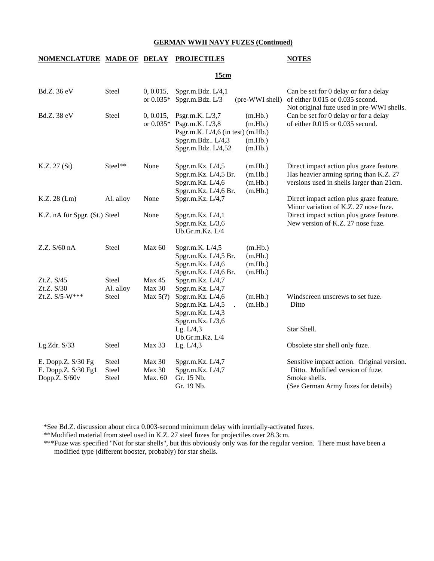### **NOMENCLATURE MADE OF DELAY PROJECTILES NOTES**

### **15cm**

| Bd.Z. 36 eV                                                  | Steel                          | 0, 0.015,<br>or $0.035*$    | Spgr.m.Bdz. L/4,1<br>Spgr.m.Bdz. L/3                                                                                            | (pre-WWI shell)                          | Can be set for 0 delay or for a delay<br>of either 0.015 or 0.035 second.                                                              |
|--------------------------------------------------------------|--------------------------------|-----------------------------|---------------------------------------------------------------------------------------------------------------------------------|------------------------------------------|----------------------------------------------------------------------------------------------------------------------------------------|
| Bd.Z. 38 eV                                                  | Steel                          | 0, 0.015,                   | Psgr.m.K. $L/3,7$<br>or $0.035*$ Psgr.m.K. L/3,8<br>Psgr.m.K. L/4,6 (in test) (m.Hb.)<br>Spgr.m.Bdz L/4,3<br>Spgr.m.Bdz. L/4,52 | (m.Hb.)<br>(m.Hb.)<br>(m.Hb.)<br>(m.Hb.) | Not original fuze used in pre-WWI shells.<br>Can be set for 0 delay or for a delay<br>of either 0.015 or 0.035 second.                 |
| K.Z. 27 (St)                                                 | Steel**                        | None                        | Spgr.m.Kz. L/4,5<br>Spgr.m.Kz. L/4,5 Br.<br>Spgr.m.Kz. $L/4,6$<br>Spgr.m.Kz. L/4,6 Br.                                          | (m.Hb.)<br>(m.Hb.)<br>(m.Hb.)<br>(m.Hb.) | Direct impact action plus graze feature.<br>Has heavier arming spring than K.Z. 27<br>versions used in shells larger than 21cm.        |
| K.Z. 28 (Lm)                                                 | Al. alloy                      | None                        | Spgr.m.Kz. L/4,7                                                                                                                |                                          | Direct impact action plus graze feature.<br>Minor variation of K.Z. 27 nose fuze.                                                      |
| K.Z. nA für Spgr. (St.) Steel                                |                                | None                        | Spgr.m.Kz. L/4,1<br>Spgr.m.Kz. L/3,6<br>Ub.Gr.m.Kz. L/4                                                                         |                                          | Direct impact action plus graze feature.<br>New version of K.Z. 27 nose fuze.                                                          |
| Z.Z. S/60 nA                                                 | Steel                          | Max 60                      | Spgr.m.K. L/4,5<br>Spgr.m.Kz. L/4,5 Br.<br>Spgr.m.Kz. L/4,6<br>Spgr.m.Kz. L/4,6 Br.                                             | (m.Hb.)<br>(m.Hb.)<br>(m.Hb.)<br>(m.Hb.) |                                                                                                                                        |
| Zt.Z. S/45                                                   | <b>Steel</b>                   | Max 45                      | Spgr.m.Kz. L/4,7                                                                                                                |                                          |                                                                                                                                        |
| Zt.Z. S/30<br>Zt.Z. S/5-W***                                 | Al. alloy<br>Steel             | Max 30<br>Max $5(?)$        | Spgr.m.Kz. L/4,7<br>Spgr.m.Kz. L/4,6<br>Spgr.m.Kz. L/4,5<br>Spgr.m.Kz. L/4,3<br>Spgr.m.Kz. L/3,6                                | (m.Hb.)<br>(m.Hb.)                       | Windscreen unscrews to set fuze.<br>Ditto                                                                                              |
|                                                              |                                |                             | Lg. $L/4,3$                                                                                                                     |                                          | Star Shell.                                                                                                                            |
| Lg.Zdr. S/33                                                 | Steel                          | Max 33                      | Ub.Gr.m.Kz. L/4<br>Lg. L/4,3                                                                                                    |                                          | Obsolete star shell only fuze.                                                                                                         |
| E. Dopp.Z. S/30 Fg<br>E. Dopp.Z. $S/30$ Fg1<br>Dopp.Z. S/60v | <b>Steel</b><br>Steel<br>Steel | Max 30<br>Max 30<br>Max. 60 | Spgr.m.Kz. L/4,7<br>Spgr.m.Kz. L/4,7<br>Gr. 15 Nb.<br>Gr. 19 Nb.                                                                |                                          | Sensitive impact action. Original version.<br>Ditto. Modified version of fuze.<br>Smoke shells.<br>(See German Army fuzes for details) |

\*See Bd.Z. discussion about circa 0.003-second minimum delay with inertially-activated fuzes.

\*\*Modified material from steel used in K.Z. 27 steel fuzes for projectiles over 28.3cm.

 \*\*\*Fuze was specified "Not for star shells", but this obviously only was for the regular version. There must have been a modified type (different booster, probably) for star shells.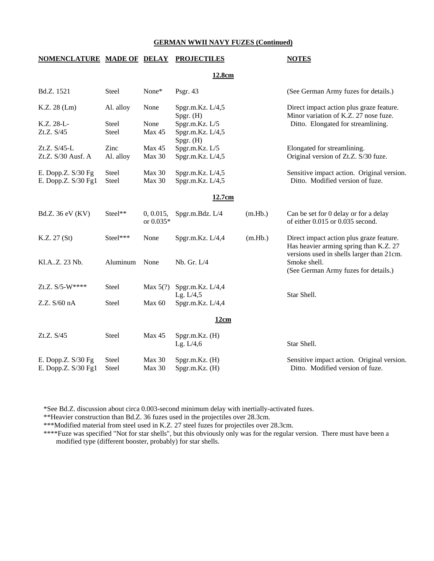**12.8cm**

### **NOMENCLATURE MADE OF DELAY PROJECTILES NOTES**

| Bd.Z. 1521                                | Steel                              | None*                  | Psgr. $43$                                                          |         | (See German Army fuzes for details.)                                                                                    |
|-------------------------------------------|------------------------------------|------------------------|---------------------------------------------------------------------|---------|-------------------------------------------------------------------------------------------------------------------------|
| K.Z. 28 (Lm)<br>K.Z. 28-L-<br>Zt.Z. S/45  | Al. alloy<br><b>Steel</b><br>Steel | None<br>None<br>Max 45 | Spgr.m.Kz. L/4,5<br>Spgr. (H)<br>Spgr.m.Kz. L/5<br>Spgr.m.Kz. L/4,5 |         | Direct impact action plus graze feature.<br>Minor variation of K.Z. 27 nose fuze.<br>Ditto. Elongated for streamlining. |
| Zt.Z. S/45-L<br>Zt.Z. S/30 Ausf. A        | Zinc<br>Al. alloy                  | Max 45<br>Max 30       | $Spgr.$ (H)<br>Spgr.m.Kz. L/5<br>Spgr.m.Kz. L/4,5                   |         | Elongated for streamlining.<br>Original version of Zt.Z. S/30 fuze.                                                     |
| E. Dopp.Z. S/30 Fg<br>E. Dopp.Z. S/30 Fg1 | Steel<br>Steel                     | Max 30<br>Max 30       | Spgr.m.Kz. L/4,5<br>Spgr.m.Kz. L/4,5                                |         | Sensitive impact action. Original version.<br>Ditto. Modified version of fuze.                                          |
|                                           |                                    |                        | 12.7cm                                                              |         |                                                                                                                         |
| Bd.Z. 36 eV (KV)                          | Steel**                            | 0, 0.015,<br>or 0.035* | Spgr.m.Bdz. $L/4$                                                   | (m.Hb.) | Can be set for 0 delay or for a delay<br>of either 0.015 or 0.035 second.                                               |
| K.Z. 27 (St)                              | Steel***                           | None                   | Spgr.m.Kz. L/4,4                                                    | (m.Hb.) | Direct impact action plus graze feature.<br>Has heavier arming spring than K.Z. 27                                      |
| Kl.AZ. 23 Nb.                             | Aluminum                           | None                   | Nb. Gr. L/4                                                         |         | versions used in shells larger than 21cm.<br>Smoke shell.<br>(See German Army fuzes for details.)                       |
| Zt.Z. S/5-W****                           | Steel                              | Max $5(?)$             | Spgr.m.Kz. $L/4,4$<br>Lg. $L/4,5$                                   |         | Star Shell.                                                                                                             |
| Z.Z. S/60 nA                              | Steel                              | Max 60                 | Spgr.m.Kz. L/4,4                                                    |         |                                                                                                                         |
|                                           |                                    |                        | 12cm                                                                |         |                                                                                                                         |
| Zt.Z. S/45                                | Steel                              | Max 45                 | $Spgr.m.Kz.$ (H)<br>Lg. $L/4,6$                                     |         | Star Shell.                                                                                                             |
| E. Dopp.Z. S/30 Fg<br>E. Dopp.Z. S/30 Fg1 | Steel<br>Steel                     | Max 30<br>Max 30       | Spgr.m.Kz. (H)<br>Spgr.m.Kz. (H)                                    |         | Sensitive impact action. Original version.<br>Ditto. Modified version of fuze.                                          |

\*See Bd.Z. discussion about circa 0.003-second minimum delay with inertially-activated fuzes.

\*\*Heavier construction than Bd.Z. 36 fuzes used in the projectiles over 28.3cm.

\*\*\*Modified material from steel used in K.Z. 27 steel fuzes for projectiles over 28.3cm.

\*\*\*\*Fuze was specified "Not for star shells", but this obviously only was for the regular version. There must have been a modified type (different booster, probably) for star shells.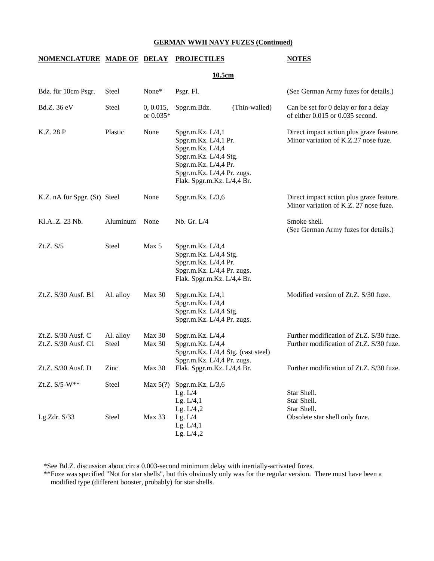### **NOMENCLATURE MADE OF DELAY PROJECTILES NOTES**

| ı<br>× | m<br>ш |
|--------|--------|
|        |        |

| Bdz. für 10cm Psgr.                       | <b>Steel</b>       | None*                  | Psgr. Fl.                                                                                                                                                                 |               | (See German Army fuzes for details.)                                                 |
|-------------------------------------------|--------------------|------------------------|---------------------------------------------------------------------------------------------------------------------------------------------------------------------------|---------------|--------------------------------------------------------------------------------------|
| Bd.Z. 36 eV                               | Steel              | 0, 0.015,<br>or 0.035* | Spgr.m.Bdz.                                                                                                                                                               | (Thin-walled) | Can be set for 0 delay or for a delay<br>of either 0.015 or 0.035 second.            |
| K.Z. 28 P                                 | Plastic            | None                   | Spgr.m.Kz. L/4,1<br>Spgr.m.Kz. L/4,1 Pr.<br>Spgr.m.Kz. L/4,4<br>Spgr.m.Kz. L/4,4 Stg.<br>Spgr.m.Kz. L/4,4 Pr.<br>Spgr.m.Kz. L/4,4 Pr. zugs.<br>Flak. Spgr.m.Kz. L/4,4 Br. |               | Direct impact action plus graze feature.<br>Minor variation of K.Z.27 nose fuze.     |
| K.Z. nA für Spgr. (St) Steel              |                    | None                   | Spgr.m.Kz. L/3,6                                                                                                                                                          |               | Direct impact action plus graze feature.<br>Minor variation of K.Z. 27 nose fuze.    |
| Kl.AZ. 23 Nb.                             | Aluminum           | None                   | Nb. Gr. L/4                                                                                                                                                               |               | Smoke shell.<br>(See German Army fuzes for details.)                                 |
| Zt.Z. S/5                                 | Steel              | Max 5                  | Spgr.m.Kz. L/4,4<br>Spgr.m.Kz. L/4,4 Stg.<br>Spgr.m.Kz. L/4,4 Pr.<br>Spgr.m.Kz. L/4,4 Pr. zugs.<br>Flak. Spgr.m.Kz. L/4,4 Br.                                             |               |                                                                                      |
| Zt.Z. S/30 Ausf. B1                       | Al. alloy          | Max 30                 | Spgr.m.Kz. L/4,1<br>Spgr.m.Kz. L/4,4<br>Spgr.m.Kz. L/4,4 Stg.<br>Spgr.m.Kz. L/4,4 Pr. zugs.                                                                               |               | Modified version of Zt.Z. S/30 fuze.                                                 |
| Zt.Z. S/30 Ausf. C<br>Zt.Z. S/30 Ausf. C1 | Al. alloy<br>Steel | Max 30<br>Max 30       | Spgr.m.Kz. L/4,4<br>Spgr.m.Kz. L/4,4<br>Spgr.m.Kz. L/4,4 Stg. (cast steel)<br>Spgr.m.Kz. L/4,4 Pr. zugs.                                                                  |               | Further modification of Zt.Z. S/30 fuze.<br>Further modification of Zt.Z. S/30 fuze. |
| Zt.Z. S/30 Ausf. D                        | Zinc               | Max 30                 | Flak. Spgr.m.Kz. L/4,4 Br.                                                                                                                                                |               | Further modification of Zt.Z. S/30 fuze.                                             |
| Zt.Z. S/5-W**                             | Steel              | Max $5(?)$             | Spgr.m.Kz. L/3,6<br>Lg. $L/4$<br>Lg. $L/4,1$<br>Lg. $L/4$ , $2$                                                                                                           |               | Star Shell.<br>Star Shell.<br>Star Shell.                                            |
| Lg.Zdr. $S/33$                            | <b>Steel</b>       | Max 33                 | Lg. $L/4$<br>Lg. $L/4,1$<br>Lg. $L/4$ , $2$                                                                                                                               |               | Obsolete star shell only fuze.                                                       |

\*See Bd.Z. discussion about circa 0.003-second minimum delay with inertially-activated fuzes.

 \*\*Fuze was specified "Not for star shells", but this obviously only was for the regular version. There must have been a modified type (different booster, probably) for star shells.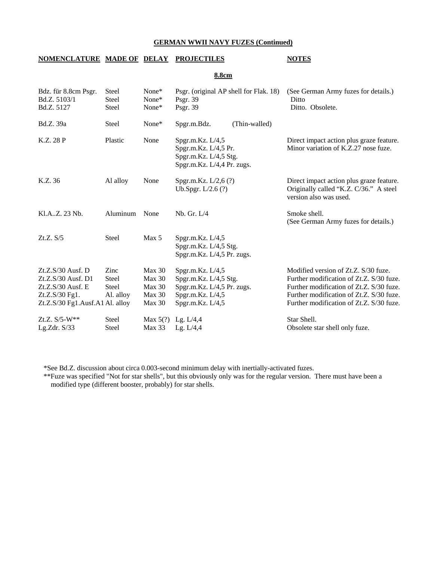### **NOMENCLATURE MADE OF DELAY PROJECTILES NOTES**

**8.8cm**

| Bdz. für 8.8cm Psgr.<br>Bd.Z. 5103/1<br>Bd.Z. 5127 | <b>Steel</b><br>Steel<br>Steel | None*<br>None*<br>None* | Psgr. (original AP shell for Flak. 18)<br>Psgr. 39<br>Psgr. 39                                  |               | (See German Army fuzes for details.)<br>Ditto<br>Ditto. Obsolete.                                            |
|----------------------------------------------------|--------------------------------|-------------------------|-------------------------------------------------------------------------------------------------|---------------|--------------------------------------------------------------------------------------------------------------|
| Bd.Z. 39a                                          | <b>Steel</b>                   | $None*$                 | Spgr.m.Bdz.                                                                                     | (Thin-walled) |                                                                                                              |
| K.Z. 28 P                                          | Plastic                        | None                    | Spgr.m.Kz. L/4,5<br>Spgr.m.Kz. L/4,5 Pr.<br>Spgr.m.Kz. L/4,5 Stg.<br>Spgr.m.Kz. L/4,4 Pr. zugs. |               | Direct impact action plus graze feature.<br>Minor variation of K.Z.27 nose fuze.                             |
| K.Z. 36                                            | Al alloy                       | None                    | Spgr.m.Kz. L/2,6 (?)<br>Ub.Spgr. $L/2.6$ (?)                                                    |               | Direct impact action plus graze feature.<br>Originally called "K.Z. C/36." A steel<br>version also was used. |
| Kl.AZ. 23 Nb.                                      | Aluminum                       | None                    | Nb. Gr. L/4                                                                                     |               | Smoke shell.<br>(See German Army fuzes for details.)                                                         |
| Zt.Z. S/5                                          | <b>Steel</b>                   | Max <sub>5</sub>        | Spgr.m.Kz. $L/4,5$<br>Spgr.m.Kz. L/4,5 Stg.<br>Spgr.m.Kz. L/4,5 Pr. zugs.                       |               |                                                                                                              |
| $Zt.Z.S/30$ Ausf. D                                | Zinc                           | Max 30                  | Spgr.m.Kz. L/4,5                                                                                |               | Modified version of Zt.Z. S/30 fuze.                                                                         |
| Zt.Z.S/30 Ausf. D1                                 | <b>Steel</b>                   | Max 30                  | Spgr.m.Kz. L/4,5 Stg.                                                                           |               | Further modification of Zt.Z. S/30 fuze.                                                                     |
| $Zt.Z.S/30$ Ausf. E                                | <b>Steel</b>                   | Max 30                  | Spgr.m.Kz. L/4,5 Pr. zugs.                                                                      |               | Further modification of Zt.Z. S/30 fuze.                                                                     |
| Zt.Z.S/30 Fg1.                                     | Al. alloy                      | Max 30                  | Spgr.m.Kz. L/4,5                                                                                |               | Further modification of Zt.Z. S/30 fuze.                                                                     |
| Zt.Z.S/30 Fg1.Ausf.A1 Al. alloy                    |                                | Max 30                  | Spgr.m.Kz. L/4,5                                                                                |               | Further modification of Zt.Z. S/30 fuze.                                                                     |
| Zt.Z. $S/5-W**$                                    | Steel                          |                         | Max $5(?)$ Lg. L/4,4                                                                            |               | Star Shell.                                                                                                  |
| Lg.Zdr. $S/33$                                     | Steel                          | <b>Max 33</b>           | Lg. L/4.4                                                                                       |               | Obsolete star shell only fuze.                                                                               |

\*See Bd.Z. discussion about circa 0.003-second minimum delay with inertially-activated fuzes.

 \*\*Fuze was specified "Not for star shells", but this obviously only was for the regular version. There must have been a modified type (different booster, probably) for star shells.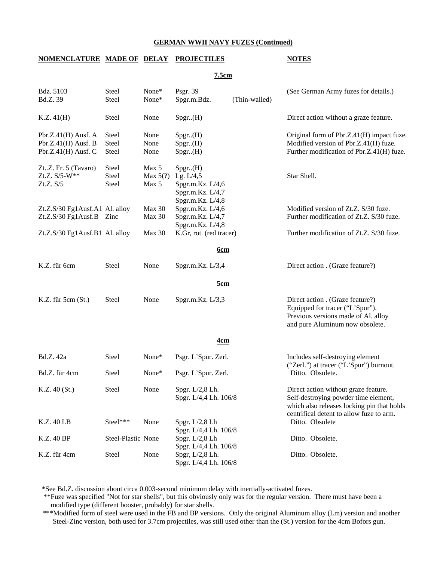### **NOMENCLATURE MADE OF DELAY PROJECTILES NOTES**

**7.5cm**

| Bdz. 5103<br>Bd.Z. 39                                                      | Steel<br>Steel          | None*<br>None*               | Psgr. 39<br>Spgr.m.Bdz.                                                             | (Thin-walled) | (See German Army fuzes for details.)                                                                                                                                   |  |
|----------------------------------------------------------------------------|-------------------------|------------------------------|-------------------------------------------------------------------------------------|---------------|------------------------------------------------------------------------------------------------------------------------------------------------------------------------|--|
| K.Z. 41(H)                                                                 | Steel                   | None                         | Spgr.(H)                                                                            |               | Direct action without a graze feature.                                                                                                                                 |  |
| Pbr.Z. $41(H)$ Ausf. A<br>Pbr.Z. $41(H)$ Ausf. B<br>Pbr.Z.41 $(H)$ Ausf. C | Steel<br>Steel<br>Steel | None<br>None<br>None         | Spgr.(H)<br>Spgr.(H)<br>Spgr.(H)                                                    |               | Original form of Pbr.Z.41(H) impact fuze.<br>Modified version of Pbr.Z.41(H) fuze.<br>Further modification of Pbr.Z.41(H) fuze.                                        |  |
| ZtZ. Fr. 5 (Tavaro)<br>Zt.Z. S/5-W**<br>Zt.Z. S/5                          | Steel<br>Steel<br>Steel | Max 5<br>Max $5(?)$<br>Max 5 | Spgr.(H)<br>Lg. $L/4,5$<br>Spgr.m.Kz. L/4,6<br>Spgr.m.Kz. L/4,7<br>Spgr.m.Kz. L/4,8 |               | Star Shell.                                                                                                                                                            |  |
| Zt.Z.S/30 Fg1Ausf.A1 Al. alloy<br>$Zt.Z.S/30 Fg1Ausf.B$ Zinc               |                         | Max 30<br>Max 30             | Spgr.m.Kz. L/4,6<br>Spgr.m.Kz. L/4,7<br>Spgr.m.Kz. L/4,8                            |               | Modified version of Zt.Z. S/30 fuze.<br>Further modification of Zt.Z. S/30 fuze.                                                                                       |  |
| Zt.Z.S/30 Fg1Ausf.B1 Al. alloy                                             |                         | Max 30                       | K.Gr, rot. (red tracer)                                                             |               | Further modification of Zt.Z. S/30 fuze.                                                                                                                               |  |
| <u>6cm</u>                                                                 |                         |                              |                                                                                     |               |                                                                                                                                                                        |  |
| K.Z. für 6cm                                                               | Steel                   | None                         | Spgr.m.Kz. L/3,4                                                                    |               | Direct action . (Graze feature?)                                                                                                                                       |  |
|                                                                            | <u>5cm</u>              |                              |                                                                                     |               |                                                                                                                                                                        |  |
| K.Z. für 5cm (St.)                                                         | Steel                   | None                         | Spgr.m.Kz. L/3,3                                                                    |               | Direct action . (Graze feature?)<br>Equipped for tracer ("L'Spur").<br>Previous versions made of Al. alloy<br>and pure Aluminum now obsolete.                          |  |
|                                                                            |                         |                              | <u>4cm</u>                                                                          |               |                                                                                                                                                                        |  |
| Bd.Z. 42a                                                                  | Steel                   | None*                        | Psgr. L'Spur. Zerl.                                                                 |               | Includes self-destroying element<br>("Zerl.") at tracer ("L'Spur") burnout.                                                                                            |  |
| Bd.Z. für 4cm                                                              | Steel                   | None*                        | Psgr. L'Spur. Zerl.                                                                 |               | Ditto. Obsolete.                                                                                                                                                       |  |
| K.Z. 40(St.)                                                               | Steel                   | None                         | Spgr. L/2,8 Lh.<br>Spgr. L/4,4 Lh. 106/8                                            |               | Direct action without graze feature.<br>Self-destroying powder time element,<br>which also releases locking pin that holds<br>centrifical detent to allow fuze to arm. |  |
| K.Z. 40 LB                                                                 | Steel***                | None                         | Spgr. L/2,8 Lh<br>Spgr. L/4,4 Lh. 106/8                                             |               | Ditto. Obsolete                                                                                                                                                        |  |
| K.Z. 40 BP                                                                 | Steel-Plastic None      |                              | Spgr. L/2,8 Lh<br>Spgr. L/4,4 Lh. 106/8                                             |               | Ditto. Obsolete.                                                                                                                                                       |  |
| K.Z. für 4cm                                                               | Steel                   | None                         | Spgr, $L/2,8$ Lh.<br>Spgr. L/4,4 Lh. 106/8                                          |               | Ditto. Obsolete.                                                                                                                                                       |  |

\*See Bd.Z. discussion about circa 0.003-second minimum delay with inertially-activated fuzes.

 \*\*Fuze was specified "Not for star shells", but this obviously only was for the regular version. There must have been a modified type (different booster, probably) for star shells.

 \*\*\*Modified form of steel were used in the FB and BP versions. Only the original Aluminum alloy (Lm) version and another Steel-Zinc version, both used for 3.7cm projectiles, was still used other than the (St.) version for the 4cm Bofors gun.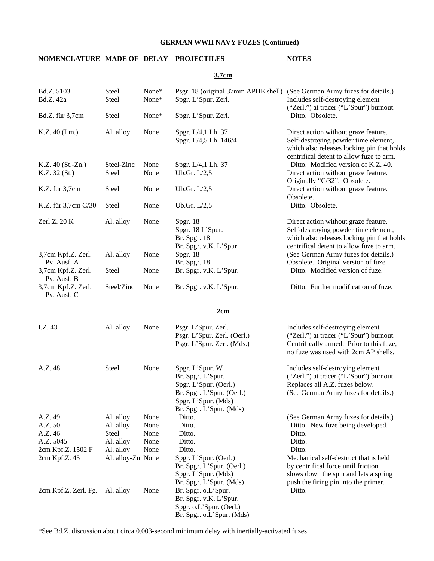# **NOMENCLATURE MADE OF DELAY PROJECTILES NOTES**

# **3.7cm**

| Bd.Z. 5103<br>Bd.Z. 42a                                                          | Steel<br>Steel                                                                 | None*<br>None*                       | Spgr. L'Spur. Zerl.                                                                                                                                                                  | Psgr. 18 (original 37mm APHE shell) (See German Army fuzes for details.)<br>Includes self-destroying element<br>("Zerl.") at tracer ("L'Spur") burnout.                |
|----------------------------------------------------------------------------------|--------------------------------------------------------------------------------|--------------------------------------|--------------------------------------------------------------------------------------------------------------------------------------------------------------------------------------|------------------------------------------------------------------------------------------------------------------------------------------------------------------------|
| Bd.Z. für 3,7cm                                                                  | <b>Steel</b>                                                                   | None*                                | Spgr. L'Spur. Zerl.                                                                                                                                                                  | Ditto. Obsolete.                                                                                                                                                       |
| K.Z. 40 (Lm.)                                                                    | Al. alloy                                                                      | None                                 | Spgr. L/4,1 Lh. 37<br>Spgr. L/4,5 Lh. 146/4                                                                                                                                          | Direct action without graze feature.<br>Self-destroying powder time element,<br>which also releases locking pin that holds<br>centrifical detent to allow fuze to arm. |
| $K.Z. 40 (St.-Zn.)$<br>K.Z. 32(St.)                                              | Steel-Zinc<br>Steel                                                            | None<br>None                         | Spgr. L/4,1 Lh. 37<br>Ub.Gr. $L/2,5$                                                                                                                                                 | Ditto. Modified version of K.Z. 40.<br>Direct action without graze feature.<br>Originally "C/32". Obsolete.                                                            |
| K.Z. für 3,7cm                                                                   | Steel                                                                          | None                                 | Ub.Gr. L/2,5                                                                                                                                                                         | Direct action without graze feature.<br>Obsolete.                                                                                                                      |
| K.Z. für 3,7cm C/30                                                              | Steel                                                                          | None                                 | Ub.Gr. L/2,5                                                                                                                                                                         | Ditto. Obsolete.                                                                                                                                                       |
| Zerl.Z. $20 K$                                                                   | Al. alloy                                                                      | None                                 | Spgr. 18<br>Spgr. 18 L'Spur.<br><b>Br.</b> Spgr. 18<br>Br. Spgr. v.K. L'Spur.                                                                                                        | Direct action without graze feature.<br>Self-destroying powder time element,<br>which also releases locking pin that holds<br>centrifical detent to allow fuze to arm. |
| 3,7cm Kpf.Z. Zerl.                                                               | Al. alloy                                                                      | None                                 | Spgr. 18                                                                                                                                                                             | (See German Army fuzes for details.)                                                                                                                                   |
| Pv. Ausf. A<br>3,7cm Kpf.Z. Zerl.<br>Pv. Ausf. B                                 | Steel                                                                          | None                                 | Br. Spgr. 18<br>Br. Spgr. v.K. L'Spur.                                                                                                                                               | Obsolete. Original version of fuze.<br>Ditto. Modified version of fuze.                                                                                                |
| 3,7cm Kpf.Z. Zerl.<br>Pv. Ausf. C                                                | Steel/Zinc                                                                     | None                                 | Br. Spgr. v.K. L'Spur.                                                                                                                                                               | Ditto. Further modification of fuze.                                                                                                                                   |
|                                                                                  |                                                                                |                                      | 2cm                                                                                                                                                                                  |                                                                                                                                                                        |
| I.Z. 43                                                                          | Al. alloy                                                                      | None                                 | Psgr. L'Spur. Zerl.<br>Psgr. L'Spur. Zerl. (Oerl.)<br>Psgr. L'Spur. Zerl. (Mds.)                                                                                                     | Includes self-destroying element<br>("Zerl.") at tracer ("L'Spur") burnout.<br>Centrifically armed. Prior to this fuze,<br>no fuze was used with 2cm AP shells.        |
| A.Z. 48                                                                          | Steel                                                                          | None                                 | Spgr. L'Spur. W<br>Br. Spgr. L'Spur.<br>Spgr. L'Spur. (Oerl.)<br>Br. Spgr. L'Spur. (Oerl.)<br>Spgr. L'Spur. (Mds)<br>Br. Spgr. L'Spur. (Mds)                                         | Includes self-destroying element<br>("Zerl.") at tracer ("L'Spur") burnout.<br>Replaces all A.Z. fuzes below.<br>(See German Army fuzes for details.)                  |
| A.Z. 49<br>A.Z. 50<br>A.Z. 46<br>A.Z. 5045<br>2cm Kpf.Z. 1502 F<br>2cm Kpf.Z. 45 | Al. alloy<br>Al. alloy<br>Steel<br>Al. alloy<br>Al. alloy<br>Al. alloy-Zn None | None<br>None<br>None<br>None<br>None | Ditto.<br>Ditto.<br>Ditto.<br>Ditto.<br>Ditto.<br>Spgr. L'Spur. (Oerl.)                                                                                                              | (See German Army fuzes for details.)<br>Ditto. New fuze being developed.<br>Ditto.<br>Ditto.<br>Ditto.<br>Mechanical self-destruct that is held                        |
| 2cm Kpf.Z. Zerl. Fg.                                                             | Al. alloy                                                                      | None                                 | Br. Spgr. L'Spur. (Oerl.)<br>Spgr. L'Spur. (Mds)<br>Br. Spgr. L'Spur. (Mds)<br>Br. Spgr. o.L'Spur.<br>Br. Spgr. v.K. L'Spur.<br>Spgr. o.L'Spur. (Oerl.)<br>Br. Spgr. o.L'Spur. (Mds) | by centrifical force until friction<br>slows down the spin and lets a spring<br>push the firing pin into the primer.<br>Ditto.                                         |

\*See Bd.Z. discussion about circa 0.003-second minimum delay with inertially-activated fuzes.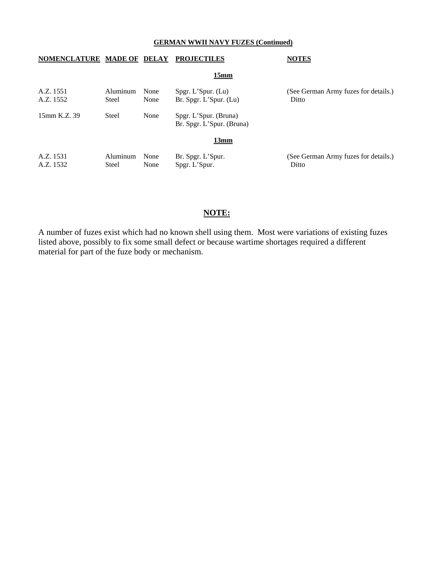## **NOMENCLATURE MADE OF DELAY PROJECTILES NOTES**

**15mm**

| Steel    | None<br>None      | $Spgr$ . L' $Spur$ . (Lu) | (See German Army fuzes for details.)<br>Ditto                                                                      |
|----------|-------------------|---------------------------|--------------------------------------------------------------------------------------------------------------------|
| Steel    | None              |                           |                                                                                                                    |
|          |                   | 13mm                      |                                                                                                                    |
| Aluminum | None              |                           | (See German Army fuzes for details.)<br>Ditto                                                                      |
|          | Aluminum<br>Steel | None                      | Br. Spgr. L'Spur. (Lu)<br>Spgr. L'Spur. (Bruna)<br>Br. Spgr. L'Spur. (Bruna)<br>Br. Spgr. L'Spur.<br>Spgr. L'Spur. |

# **NOTE:**

A number of fuzes exist which had no known shell using them. Most were variations of existing fuzes listed above, possibly to fix some small defect or because wartime shortages required a different material for part of the fuze body or mechanism.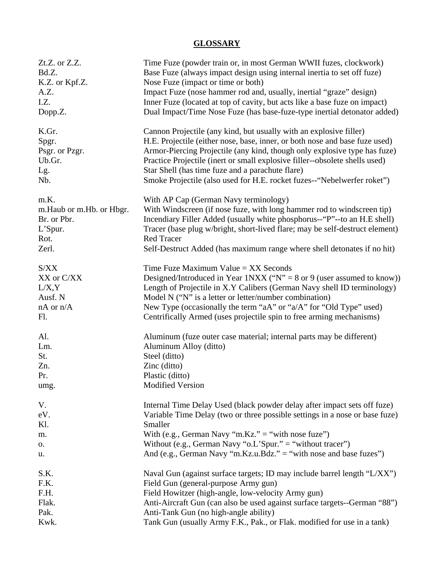# **GLOSSARY**

| Zt.Z. or Z.Z.              | Time Fuze (powder train or, in most German WWII fuzes, clockwork)            |
|----------------------------|------------------------------------------------------------------------------|
| Bd.Z.                      | Base Fuze (always impact design using internal inertia to set off fuze)      |
| K.Z. or Kpf.Z.             | Nose Fuze (impact or time or both)                                           |
| A.Z.                       | Impact Fuze (nose hammer rod and, usually, inertial "graze" design)          |
| I.Z.                       | Inner Fuze (located at top of cavity, but acts like a base fuze on impact)   |
| Dopp.Z.                    | Dual Impact/Time Nose Fuze (has base-fuze-type inertial detonator added)     |
| K.Gr.                      | Cannon Projectile (any kind, but usually with an explosive filler)           |
| Spgr.                      | H.E. Projectile (either nose, base, inner, or both nose and base fuze used)  |
| Psgr. or Pzgr.             | Armor-Piercing Projectile (any kind, though only explosive type has fuze)    |
| Ub.Gr.                     | Practice Projectile (inert or small explosive filler--obsolete shells used)  |
| Lg.                        | Star Shell (has time fuze and a parachute flare)                             |
| Nb.                        | Smoke Projectile (also used for H.E. rocket fuzes--"Nebelwerfer roket")      |
| m.K.                       | With AP Cap (German Navy terminology)                                        |
| m. Haub or m. Hb. or Hbgr. | With Windscreen (if nose fuze, with long hammer rod to windscreen tip)       |
| Br. or Pbr.                | Incendiary Filler Added (usually white phosphorus--"P"--to an H.E shell)     |
| $L$ 'Spur.                 | Tracer (base plug w/bright, short-lived flare; may be self-destruct element) |
| Rot.                       | <b>Red Tracer</b>                                                            |
| Zerl.                      | Self-Destruct Added (has maximum range where shell detonates if no hit)      |
| S/XX                       | Time Fuze Maximum Value $= XX$ Seconds                                       |
| XX or C/XX                 | Designed/Introduced in Year 1NXX ("N" = $8$ or $9$ (user assumed to know))   |
| L/X, Y                     | Length of Projectile in X.Y Calibers (German Navy shell ID terminology)      |
| Ausf. N                    | Model N ("N" is a letter or letter/number combination)                       |
| $nA$ or $n/A$              | New Type (occasionally the term "aA" or "a/A" for "Old Type" used)           |
| Fl.                        | Centrifically Armed (uses projectile spin to free arming mechanisms)         |
| Al.                        | Aluminum (fuze outer case material; internal parts may be different)         |
| Lm.                        | Aluminum Alloy (ditto)                                                       |
| St.                        | Steel (ditto)                                                                |
| Zn.                        | Zinc (ditto)                                                                 |
| Pr.                        | Plastic (ditto)                                                              |
| umg.                       | Modified Version                                                             |
| V.                         | Internal Time Delay Used (black powder delay after impact sets off fuze)     |
| eV.                        | Variable Time Delay (two or three possible settings in a nose or base fuze)  |
| Kl.                        | Smaller                                                                      |
| m.                         | With (e.g., German Navy "m.Kz." = "with nose fuze")                          |
| 0.                         | Without (e.g., German Navy "o.L'Spur." = "without tracer")                   |
| u.                         | And (e.g., German Navy "m.Kz.u.Bdz." = "with nose and base fuzes")           |
| S.K.                       | Naval Gun (against surface targets; ID may include barrel length "L/XX")     |
| F.K.                       | Field Gun (general-purpose Army gun)                                         |
| F.H.                       | Field Howitzer (high-angle, low-velocity Army gun)                           |
| Flak.                      | Anti-Aircraft Gun (can also be used against surface targets--German "88")    |
| Pak.                       | Anti-Tank Gun (no high-angle ability)                                        |
| Kwk.                       | Tank Gun (usually Army F.K., Pak., or Flak. modified for use in a tank)      |